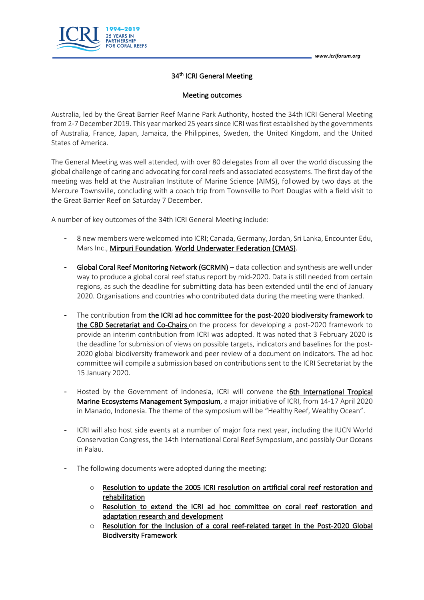

## 34<sup>th</sup> ICRI General Meeting

## Meeting outcomes

Australia, led by the Great Barrier Reef Marine Park Authority, hosted the 34th ICRI General Meeting from 2-7 December 2019. This year marked 25 years since ICRI was first established by the governments of Australia, France, Japan, Jamaica, the Philippines, Sweden, the United Kingdom, and the United States of America.

The General Meeting was well attended, with over 80 delegates from all over the world discussing the global challenge of caring and advocating for coral reefs and associated ecosystems. The first day of the meeting was held at the Australian Institute of Marine Science (AIMS), followed by two days at the Mercure Townsville, concluding with a coach trip from Townsville to Port Douglas with a field visit to the Great Barrier Reef on Saturday 7 December.

A number of key outcomes of the 34th ICRI General Meeting include:

- 8 new members were welcomed into ICRI; Canada, Germany, Jordan, Sri Lanka, Encounter Edu, Mars Inc., Mirpuri Foundation, World Underwater Federation (CMAS).
- Global Coral Reef Monitoring Network (GCRMN) data collection and synthesis are well under way to produce a global coral reef status report by mid-2020. Data is still needed from certain regions, as such the deadline for submitting data has been extended until the end of January 2020. Organisations and countries who contributed data during the meeting were thanked.
- The contribution from the ICRI ad hoc committee for the post-2020 biodiversity framework to the CBD Secretariat and Co-Chairs on the process for developing a post-2020 framework to provide an interim contribution from ICRI was adopted. It was noted that 3 February 2020 is the deadline for submission of views on possible targets, indicators and baselines for the post-2020 global biodiversity framework and peer review of a document on indicators. The ad hoc committee will compile a submission based on contributions sent to the ICRI Secretariat by the 15 January 2020.
- Hosted by the Government of Indonesia, ICRI will convene the 6th International Tropical Marine Ecosystems Management Symposium, a major initiative of ICRI, from 14-17 April 2020 in Manado, Indonesia. The theme of the symposium will be "Healthy Reef, Wealthy Ocean".
- ICRI will also host side events at a number of major fora next year, including the IUCN World Conservation Congress, the 14th International Coral Reef Symposium, and possibly Our Oceans in Palau.
- The following documents were adopted during the meeting:
	- $\circ$  Resolution to update the 2005 ICRI resolution on artificial coral reef restoration and rehabilitation
	- o Resolution to extend the ICRI ad hoc committee on coral reef restoration and adaptation research and development
	- $\circ$  Resolution for the Inclusion of a coral reef-related target in the Post-2020 Global Biodiversity Framework